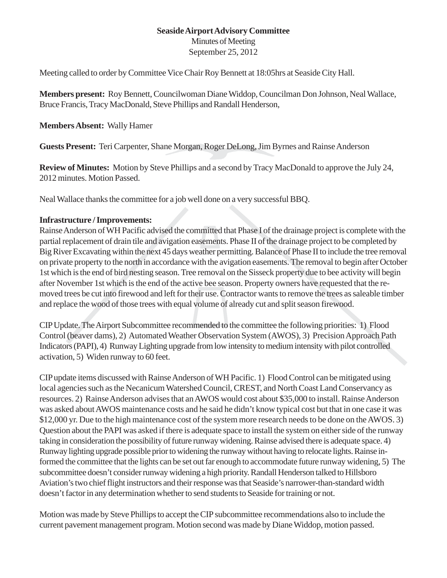## **Seaside Airport Advisory Committee** Minutes of Meeting

September 25, 2012

Meeting called to order by Committee Vice Chair Roy Bennett at 18:05hrs at Seaside City Hall.

**Members present:** Roy Bennett, Councilwoman Diane Widdop, Councilman Don Johnson, Neal Wallace, Bruce Francis, Tracy MacDonald, Steve Phillips and Randall Henderson,

## **Members Absent:** Wally Hamer

**Guests Present:** Teri Carpenter, Shane Morgan, Roger DeLong, Jim Byrnes and Rainse Anderson

**Review of Minutes:** Motion by Steve Phillips and a second by Tracy MacDonald to approve the July 24, 2012 minutes. Motion Passed.

Neal Wallace thanks the committee for a job well done on a very successful BBQ.

## **Infrastructure / Improvements:**

Rainse Anderson of WH Pacific advised the committed that Phase I of the drainage project is complete with the partial replacement of drain tile and avigation easements. Phase II of the drainage project to be completed by Big River Excavating within the next 45 days weather permitting. Balance of Phase II to include the tree removal on private property to the north in accordance with the avigation easements. The removal to begin after October 1st which is the end of bird nesting season. Tree removal on the Sisseck property due to bee activity will begin after November 1st which is the end of the active bee season. Property owners have requested that the removed trees be cut into firewood and left for their use. Contractor wants to remove the trees as saleable timber and replace the wood of those trees with equal volume of already cut and split season firewood.

CIP Update. The Airport Subcommittee recommended to the committee the following priorities: 1) Flood Control (beaver dams), 2) Automated Weather Observation System (AWOS), 3) Precision Approach Path Indicators (PAPI), 4) Runway Lighting upgrade from low intensity to medium intensity with pilot controlled activation, 5) Widen runway to 60 feet.

CIP update items discussed with Rainse Anderson of WH Pacific. 1) Flood Control can be mitigated using local agencies such as the Necanicum Watershed Council, CREST, and North Coast Land Conservancy as resources. 2) Rainse Anderson advises that an AWOS would cost about \$35,000 to install. Rainse Anderson was asked about AWOS maintenance costs and he said he didn't know typical cost but that in one case it was \$12,000 yr. Due to the high maintenance cost of the system more research needs to be done on the AWOS. 3) Question about the PAPI was asked if there is adequate space to install the system on either side of the runway taking in consideration the possibility of future runway widening. Rainse advised there is adequate space. 4) Runway lighting upgrade possible prior to widening the runway without having to relocate lights. Rainse informed the committee that the lights can be set out far enough to accommodate future runway widening, 5) The subcommittee doesn't consider runway widening a high priority. Randall Henderson talked to Hillsboro Aviation's two chief flight instructors and their response was that Seaside's narrower-than-standard width doesn't factor in any determination whether to send students to Seaside for training or not.

Motion was made by Steve Phillips to accept the CIP subcommittee recommendations also to include the current pavement management program. Motion second was made by Diane Widdop, motion passed.